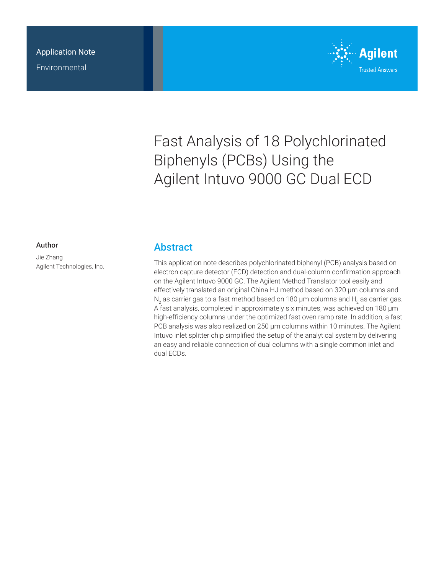

# Fast Analysis of 18 Polychlorinated Biphenyls (PCBs) Using the Agilent Intuvo 9000 GC Dual ECD

#### Author

Jie Zhang Agilent Technologies, Inc.

### **Abstract**

This application note describes polychlorinated biphenyl (PCB) analysis based on electron capture detector (ECD) detection and dual-column confirmation approach on the Agilent Intuvo 9000 GC. The Agilent Method Translator tool easily and effectively translated an original China HJ method based on 320 µm columns and  $\mathsf{N}_2$  as carrier gas to a fast method based on 180 µm columns and  $\mathsf{H}_2$  as carrier gas. A fast analysis, completed in approximately six minutes, was achieved on 180 µm high-efficiency columns under the optimized fast oven ramp rate. In addition, a fast PCB analysis was also realized on 250 µm columns within 10 minutes. The Agilent Intuvo inlet splitter chip simplified the setup of the analytical system by delivering an easy and reliable connection of dual columns with a single common inlet and dual ECDs.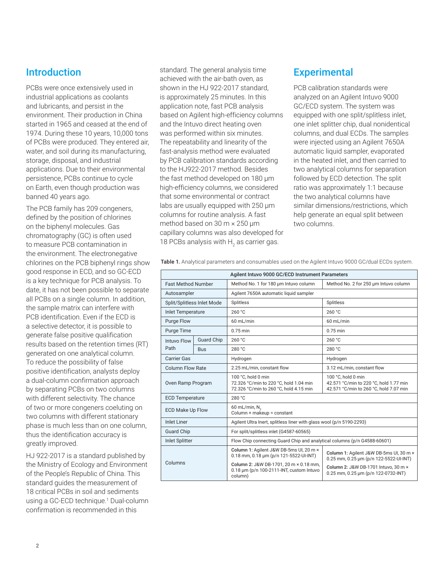# **Introduction**

PCBs were once extensively used in industrial applications as coolants and lubricants, and persist in the environment. Their production in China started in 1965 and ceased at the end of 1974. During these 10 years, 10,000 tons of PCBs were produced. They entered air, water, and soil during its manufacturing, storage, disposal, and industrial applications. Due to their environmental persistence, PCBs continue to cycle on Earth, even though production was banned 40 years ago.

The PCB family has 209 congeners, defined by the position of chlorines on the biphenyl molecules. Gas chromatography (GC) is often used to measure PCB contamination in the environment. The electronegative chlorines on the PCB biphenyl rings show good response in ECD, and so GC-ECD is a key technique for PCB analysis. To date, it has not been possible to separate all PCBs on a single column. In addition, the sample matrix can interfere with PCB identification. Even if the ECD is a selective detector, it is possible to generate false positive qualification results based on the retention times (RT) generated on one analytical column. To reduce the possibility of false positive identification, analysts deploy a dual-column confirmation approach by separating PCBs on two columns with different selectivity. The chance of two or more congeners coeluting on two columns with different stationary phase is much less than on one column, thus the identification accuracy is greatly improved.

HJ 922-2017 is a standard published by the Ministry of Ecology and Environment of the People's Republic of China. This standard guides the measurement of 18 critical PCBs in soil and sediments using a GC-ECD technique.<sup>1</sup> Dual-column confirmation is recommended in this

standard. The general analysis time achieved with the air-bath oven, as shown in the HJ 922-2017 standard, is approximately 25 minutes. In this application note, fast PCB analysis based on Agilent high-efficiency columns and the Intuvo direct heating oven was performed within six minutes. The repeatability and linearity of the fast‑analysis method were evaluated by PCB calibration standards according to the HJ922-2017 method. Besides the fast method developed on 180 µm high-efficiency columns, we considered that some environmental or contract labs are usually equipped with 250  $\mu$ m columns for routine analysis. A fast method based on 30 m × 250 µm capillary columns was also developed for 18 PCBs analysis with  $\rm H_2$  as carrier gas.

# **Experimental**

PCB calibration standards were analyzed on an Agilent Intuvo 9000 GC/ECD system. The system was equipped with one split/splitless inlet, one inlet splitter chip, dual nonidentical columns, and dual ECDs. The samples were injected using an Agilent 7650A automatic liquid sampler, evaporated in the heated inlet, and then carried to two analytical columns for separation followed by ECD detection. The split ratio was approximately 1:1 because the two analytical columns have similar dimensions/restrictions, which help generate an equal split between two columns.

Table 1. Analytical parameters and consumables used on the Agilent Intuvo 9000 GC/dual ECDs system. Agilent Intuvo 9000 GC/ECD Instrument Parameters

| Agilent Intuvo 9000 GC/ECD Instrument Parameters |                   |                                                                                                        |                                                                                                        |  |  |  |  |  |
|--------------------------------------------------|-------------------|--------------------------------------------------------------------------------------------------------|--------------------------------------------------------------------------------------------------------|--|--|--|--|--|
| <b>Fast Method Number</b>                        |                   | Method No. 1 for 180 um Intuvo column                                                                  | Method No. 2 for 250 um Intuvo column                                                                  |  |  |  |  |  |
| Autosampler                                      |                   | Agilent 7650A automatic liquid sampler                                                                 |                                                                                                        |  |  |  |  |  |
| Split/Splitless Inlet Mode                       |                   | Splitless                                                                                              | Splitless                                                                                              |  |  |  |  |  |
| <b>Inlet Temperature</b>                         |                   | 260 °C                                                                                                 | 260 °C                                                                                                 |  |  |  |  |  |
| <b>Purge Flow</b>                                |                   | 60 mL/min                                                                                              | 60 mL/min                                                                                              |  |  |  |  |  |
| Purge Time                                       |                   | $0.75$ min                                                                                             | $0.75$ min                                                                                             |  |  |  |  |  |
| <b>Intuvo Flow</b>                               | <b>Guard Chip</b> | 260 °C                                                                                                 | 260 °C                                                                                                 |  |  |  |  |  |
| Path                                             | <b>Bus</b>        | 280 °C                                                                                                 | 280 °C                                                                                                 |  |  |  |  |  |
| <b>Carrier Gas</b>                               |                   | Hydrogen                                                                                               | Hydrogen                                                                                               |  |  |  |  |  |
| <b>Column Flow Rate</b>                          |                   | 2.25 mL/min, constant flow                                                                             | 3.12 mL/min, constant flow                                                                             |  |  |  |  |  |
| Oven Ramp Program                                |                   | 100 °C, hold 0 min<br>72.326 °C/min to 220 °C, hold 1.04 min<br>72.326 °C/min to 260 °C, hold 4.15 min | 100 °C, hold 0 min<br>42.571 °C/min to 220 °C, hold 1.77 min<br>42.571 °C/min to 260 °C, hold 7.07 min |  |  |  |  |  |
| <b>ECD Temperature</b>                           |                   | 280 °C                                                                                                 |                                                                                                        |  |  |  |  |  |
| <b>ECD Make Up Flow</b>                          |                   | 60 mL/min, N <sub>2</sub><br>Column $+$ makeup = constant                                              |                                                                                                        |  |  |  |  |  |
| <b>Inlet Liner</b>                               |                   | Agilent Ultra Inert, splitless liner with glass wool (p/n 5190-2293)                                   |                                                                                                        |  |  |  |  |  |
| <b>Guard Chip</b>                                |                   | For split/splitless inlet (G4587-60565)                                                                |                                                                                                        |  |  |  |  |  |
| <b>Inlet Splitter</b>                            |                   | Flow Chip connecting Guard Chip and analytical columns (p/n G4588-60601)                               |                                                                                                        |  |  |  |  |  |
| Columns                                          |                   | Column 1: Agilent J&W DB-5ms UI, 20 m ×<br>0.18 mm, 0.18 um (p/n 121-5522-UI-INT)                      | Column 1: Agilent J&W DB-5ms UI, 30 m ×<br>0.25 mm, 0.25 um (p/n 122-5522-UI-INT)                      |  |  |  |  |  |
|                                                  |                   | Column 2: J&W DB-1701, 20 m × 0.18 mm,<br>0.18 um (p/n 100-2111-INT, custom Intuvo<br>column)          | Column 2: J&W DB-1701 Intuvo, 30 m ×<br>0.25 mm, 0.25 um (p/n 122-0732-INT)                            |  |  |  |  |  |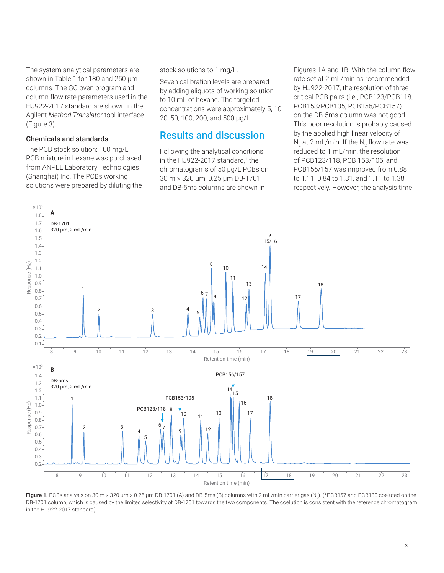The system analytical parameters are shown in Table 1 for 180 and 250 µm columns. The GC oven program and column flow rate parameters used in the HJ922-2017 standard are shown in the Agilent *Method Translator* tool interface (Figure 3).

#### Chemicals and standards

The PCB stock solution: 100 mg/L PCB mixture in hexane was purchased from ANPEL Laboratory Technologies (Shanghai) Inc. The PCBs working solutions were prepared by diluting the

#### stock solutions to 1 mg/L.

Seven calibration levels are prepared by adding aliquots of working solution to 10 mL of hexane. The targeted concentrations were approximately 5, 10, 20, 50, 100, 200, and 500 µg/L.

### Results and discussion

Following the analytical conditions in the HJ922-2017 standard,<sup>1</sup> the chromatograms of 50 µg/L PCBs on 30 m × 320 µm, 0.25 µm DB-1701 and DB-5ms columns are shown in

Figures 1A and 1B. With the column flow rate set at 2 mL/min as recommended by HJ922-2017, the resolution of three critical PCB pairs (i.e., PCB123/PCB118, PCB153/PCB105, PCB156/PCB157) on the DB-5ms column was not good. This poor resolution is probably caused by the applied high linear velocity of N<sub>2</sub> at 2 mL/min. If the N<sub>2</sub> flow rate was reduced to 1 mL/min, the resolution of PCB123/118, PCB 153/105, and PCB156/157 was improved from 0.88 to 1.11, 0.84 to 1.31, and 1.11 to 1.38, respectively. However, the analysis time



**Figure 1.** PCBs analysis on 30 m × 320 µm × 0.25 µm DB-1701 (A) and DB-5ms (B) columns with 2 mL/min carrier gas (N<sub>2</sub>). (\*PCB157 and PCB180 coeluted on the DB-1701 column, which is caused by the limited selectivity of DB-1701 towards the two components. The coelution is consistent with the reference chromatogram in the HJ922-2017 standard).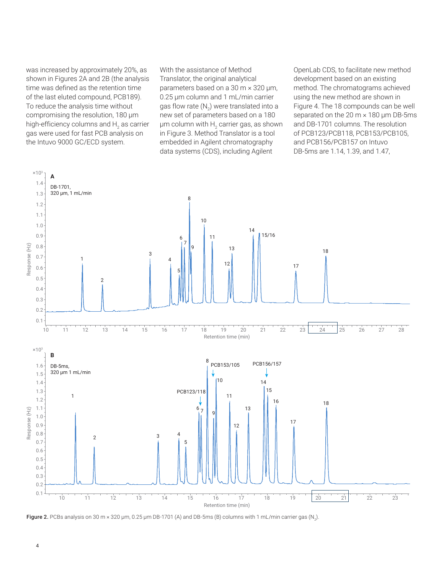was increased by approximately 20%, as shown in Figures 2A and 2B (the analysis time was defined as the retention time of the last eluted compound, PCB189). To reduce the analysis time without compromising the resolution, 180 µm high-efficiency columns and  $\mathsf{H}_2$  as carrier gas were used for fast PCB analysis on the Intuvo 9000 GC/ECD system.

With the assistance of Method Translator, the original analytical parameters based on a 30 m  $\times$  320 µm, 0.25 µm column and 1 mL/min carrier gas flow rate (N<sub>2</sub>) were translated into a new set of parameters based on a 180  $\mu$ m column with  $\text{H}_{\text{2}}$  carrier gas, as shown in Figure 3. Method Translator is a tool embedded in Agilent chromatography data systems (CDS), including Agilent

OpenLab CDS, to facilitate new method development based on an existing method. The chromatograms achieved using the new method are shown in Figure 4. The 18 compounds can be well separated on the 20 m × 180 µm DB-5ms and DB-1701 columns. The resolution of PCB123/PCB118, PCB153/PCB105, and PCB156/PCB157 on Intuvo DB‑5ms are 1.14, 1.39, and 1.47,



**Figure 2.** PCBs analysis on 30 m × 320 µm, 0.25 µm DB-1701 (A) and DB-5ms (B) columns with 1 mL/min carrier gas (N<sub>2</sub>).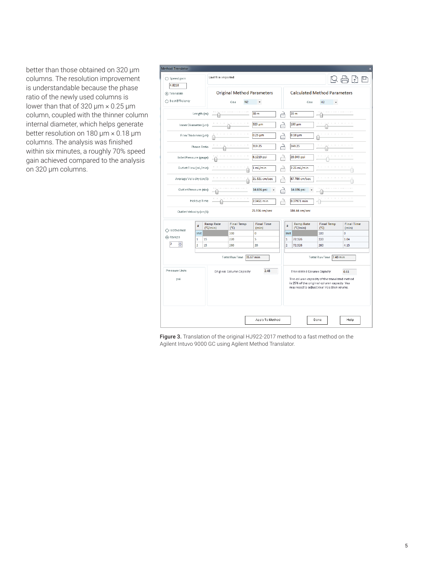better than those obtained on 320 µm columns. The resolution improvement is understandable because the phase ratio of the newly used columns is lower than that of 320  $\mu$ m  $\times$  0.25  $\mu$ m column, coupled with the thinner column internal diameter, which helps generate better resolution on 180 µm × 0.18 µm columns. The analysis was finished within six minutes, a roughly 70% speed gain achieved compared to the analysis on 320 µm columns.

| <b>Method Translator</b>     |                |                          |                                   |                                                                                                             |      |                            |                                                                                                                                                                               |                |                                       |                                    |            |                                        |   |
|------------------------------|----------------|--------------------------|-----------------------------------|-------------------------------------------------------------------------------------------------------------|------|----------------------------|-------------------------------------------------------------------------------------------------------------------------------------------------------------------------------|----------------|---------------------------------------|------------------------------------|------------|----------------------------------------|---|
| $\bigcap$ Speed gain         |                |                          | Last file imported:               |                                                                                                             |      |                            |                                                                                                                                                                               |                |                                       |                                    |            |                                        | Þ |
| 4.8218                       |                |                          |                                   |                                                                                                             |      |                            |                                                                                                                                                                               |                |                                       |                                    |            |                                        |   |
| (a) Translate                |                |                          | <b>Original Method Parameters</b> |                                                                                                             |      |                            | <b>Calculated Method Parameters</b>                                                                                                                                           |                |                                       |                                    |            |                                        |   |
| ○ Best Efficiency            |                |                          | N <sub>2</sub><br>Gas             |                                                                                                             |      | $\check{}$                 |                                                                                                                                                                               |                | Gas                                   | H2                                 | $\check{}$ |                                        |   |
|                              |                | Length (m)               |                                   | <b>CONTRACTOR</b> CONTRACTOR                                                                                |      | 30 m                       | 4                                                                                                                                                                             |                | 20 m                                  |                                    |            | . 1                                    |   |
| Inner Diameter (um)          |                |                          |                                   | <b>CONTRACTOR</b>                                                                                           |      | 320 um                     | ∟,                                                                                                                                                                            |                | 180 um                                |                                    |            | and the contract of                    |   |
| Film Thickness (um)          |                |                          |                                   | and the contract of the con-                                                                                |      | $0.25 \mu m$               | ہے                                                                                                                                                                            |                | $0.18 \mu m$                          |                                    |            | many contracts and                     |   |
|                              |                | Phase Ratio              |                                   | $\mathbf{r} = \mathbf{r} - \mathbf{r}$ , $\mathbf{r} = \mathbf{r} - \mathbf{r}$ , $\mathbf{r} = \mathbf{r}$ |      | 319.25                     | ہے                                                                                                                                                                            |                | 249.25                                |                                    |            | contractor and contract                |   |
| Inlet Pressure (gauge)       |                |                          |                                   | and the contract of the con-                                                                                |      | 6.1219 psi                 | 규                                                                                                                                                                             |                | 28.043 psi                            |                                    |            | and a state and a                      |   |
| Outlet Flow (mL/min)         |                |                          |                                   | the contract of the contract of                                                                             |      | 1 mL/min                   | щ                                                                                                                                                                             |                | 2.25 mL/min                           | the company of the company         |            |                                        |   |
| Average Velocity (cm/s)      |                |                          |                                   | the contract of the contract of                                                                             |      | 21.321 cm/sec              |                                                                                                                                                                               |                | 87.786 cm/sec                         | the company of the company         |            |                                        |   |
| Outlet Pressure (abs)        |                |                          |                                   | .                                                                                                           |      | 14.696 psi                 | ⊣                                                                                                                                                                             |                | 14.696 psi                            |                                    |            | <b>THE REPORT OF A REPORT OF A 200</b> |   |
|                              |                | Holdup Time              |                                   | the companies are a constructed                                                                             |      | 2.3451 min                 | 4                                                                                                                                                                             |                | 0.37971 min                           |                                    |            | and the contract of the con-           |   |
| Outlet Velocity (cm/s)       |                |                          |                                   |                                                                                                             |      | 25.936 cm/sec              |                                                                                                                                                                               |                | 184.44 cm/sec                         |                                    |            |                                        |   |
| ○ Isothermal                 |                | #                        | Ramp Rate<br>$(^{\circ}C/min)$    | <b>Final Temp</b><br>$(^{\circ}C)$                                                                          |      | <b>Final Time</b><br>(min) |                                                                                                                                                                               | #              | <b>Ramp Rate</b><br>$(^{\circ}C/min)$ | <b>Final Temp</b><br>$(^{\circ}C)$ |            | <b>Final Time</b><br>(min)             |   |
|                              |                | Init                     |                                   | 100                                                                                                         |      | Ō                          |                                                                                                                                                                               | Init           |                                       | 100                                |            | $\mathbf{0}$                           |   |
| (a) Ramps                    | 1              | 15                       |                                   | 220                                                                                                         |      | 5                          |                                                                                                                                                                               | $\mathbf{1}$   | 72.326                                | 220                                |            | 1.04                                   |   |
| $\overline{\mathbf{2}}$<br>÷ | $\overline{a}$ | 15                       |                                   | 260                                                                                                         |      | 20                         |                                                                                                                                                                               | $\overline{2}$ | 72.326                                | 260                                |            | 4.15                                   |   |
|                              |                |                          | Total Run Time 35.67 min          |                                                                                                             |      |                            | Total Run Time 7.40 min                                                                                                                                                       |                |                                       |                                    |            |                                        |   |
| Pressure Units<br>psi        |                | Original Column Capadty. |                                   |                                                                                                             | 2.48 |                            | Translated Column Capadty.<br>0.61<br>The column capacity of the translated method<br>is 25% of the original column capadty. You<br>may need to adjust your injection volume. |                |                                       |                                    |            |                                        |   |
|                              |                |                          |                                   |                                                                                                             |      |                            |                                                                                                                                                                               |                |                                       |                                    |            |                                        |   |
|                              |                |                          |                                   |                                                                                                             |      | Apply To Method            |                                                                                                                                                                               |                |                                       | Done                               |            | Help                                   |   |

Figure 3. Translation of the original HJ922-2017 method to a fast method on the Agilent Intuvo 9000 GC using Agilent Method Translator.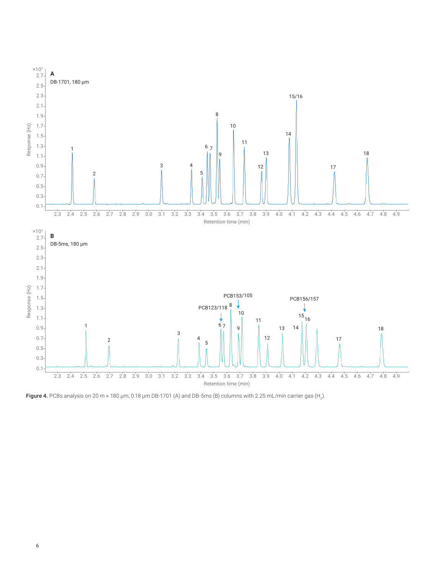

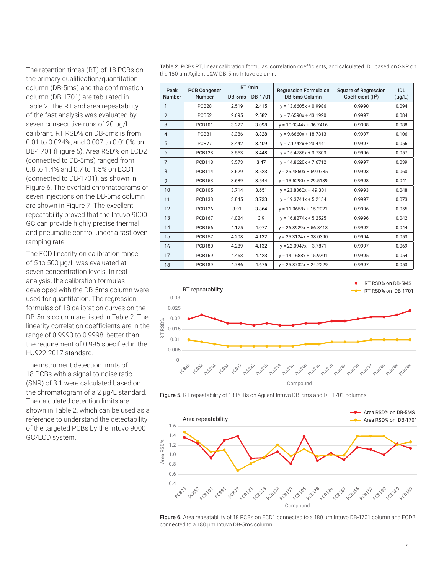The retention times (RT) of 18 PCBs on the primary qualification/quantitation column (DB-5ms) and the confirmation column (DB-1701) are tabulated in Table 2. The RT and area repeatability of the fast analysis was evaluated by seven consecutive runs of 20 µg/L calibrant. RT RSD% on DB-5ms is from 0.01 to 0.024%, and 0.007 to 0.010% on DB-1701 (Figure 5). Area RSD% on ECD2 (connected to DB-5ms) ranged from 0.8 to 1.4% and 0.7 to 1.5% on ECD1 (connected to DB-1701), as shown in Figure 6. The overlaid chromatograms of seven injections on the DB-5ms column are shown in Figure 7. The excellent repeatability proved that the Intuvo 9000 GC can provide highly precise thermal and pneumatic control under a fast oven ramping rate.

The ECD linearity on calibration range of 5 to 500 µg/L was evaluated at seven concentration levels. In real analysis, the calibration formulas developed with the DB-5ms column were used for quantitation. The regression formulas of 18 calibration curves on the DB-5ms column are listed in Table 2. The linearity correlation coefficients are in the range of 0.9990 to 0.9998, better than the requirement of 0.995 specified in the HJ922-2017 standard.

The instrument detection limits of 18 PCBs with a signal-to-noise ratio (SNR) of 3:1 were calculated based on the chromatogram of a 2 µg/L standard. The calculated detection limits are shown in Table 2, which can be used as a reference to understand the detectability of the targeted PCBs by the Intuvo 9000 GC/ECD system.

Table 2. PCBs RT, linear calibration formulas, correlation coefficients, and calculated IDL based on SNR on the 180 µm Agilent J&W DB‑5ms Intuvo column.

| Peak           | <b>PCB Congener</b> |                   | RT/min | Regression Formula on    | <b>Square of Regression</b> | IDI         |  |
|----------------|---------------------|-------------------|--------|--------------------------|-----------------------------|-------------|--|
| <b>Number</b>  | <b>Number</b>       | DB-1701<br>DB-5ms |        | <b>DB-5ms Column</b>     | Coefficient $(R2)$          | $(\mu g/L)$ |  |
| 1              | PCB <sub>28</sub>   | 2.519             | 2.415  | $y = 13.6605x + 0.9986$  | 0.9990                      | 0.094       |  |
| $\overline{2}$ | <b>PCB52</b>        | 2.695             | 2.582  | $y = 7.6590x + 43.1920$  | 0.9997                      | 0.084       |  |
| 3              | <b>PCB101</b>       | 3.227             | 3.098  | $y = 10.9344x + 36.7416$ | 0.9998                      | 0.088       |  |
| 4              | PCB81               | 3.386             | 3.328  | $y = 9.6660x + 18.7313$  | 0.9997                      | 0.106       |  |
| 5              | PCB77               | 3.442             | 3.409  | $y = 7.1742x + 23.4441$  | 0.9997                      | 0.056       |  |
| 6              | <b>PCB123</b>       | 3.553             | 3.448  | $y = 15.4786x + 3.7303$  | 0.9996                      | 0.057       |  |
| $\overline{7}$ | <b>PCB118</b>       | 3.573             | 3.47   | $y = 14.8620x + 7.6712$  | 0.9997                      | 0.039       |  |
| 8              | <b>PCB114</b>       | 3.629             | 3.523  | $y = 26.4850x - 59.0785$ | 0.9993                      | 0.060       |  |
| 9              | <b>PCB153</b>       | 3.689             | 3.544  | $y = 13.5290x + 29.5189$ | 0.9998                      | 0.041       |  |
| 10             | <b>PCB105</b>       | 3.714             | 3.651  | $y = 23.8360x - 49.301$  | 0.9993                      | 0.048       |  |
| 11             | <b>PCB138</b>       | 3.845             | 3.733  | $y = 19.3741x + 5.2154$  | 0.9997                      | 0.073       |  |
| 12             | <b>PCB126</b>       | 3.91              | 3.864  | $y = 11.0658x + 15.2021$ | 0.9996                      | 0.055       |  |
| 13             | <b>PCB167</b>       | 4.024             | 3.9    | $v = 16.8274x + 5.2525$  | 0.9996                      | 0.042       |  |
| 14             | <b>PCB156</b>       | 4.175             | 4.077  | $y = 26.8929x - 56.8413$ | 0.9992                      | 0.044       |  |
| 15             | <b>PCB157</b>       | 4.208             | 4.132  | $y = 25.3124x - 38.0390$ | 0.9994                      | 0.053       |  |
| 16             | <b>PCB180</b>       | 4.289             | 4.132  | $y = 22.0947x - 3.7871$  | 0.9997                      | 0.069       |  |
| 17             | <b>PCB169</b>       | 4.463             | 4.423  | $y = 14.1688x + 15.9701$ | 0.9995                      | 0.054       |  |
| 18             | <b>PCB189</b>       | 4.786             | 4.675  | $y = 25.8732x - 24.2229$ | 0.9997                      | 0.053       |  |







Figure 6. Area repeatability of 18 PCBs on ECD1 connected to a 180 µm Intuvo DB-1701 column and ECD2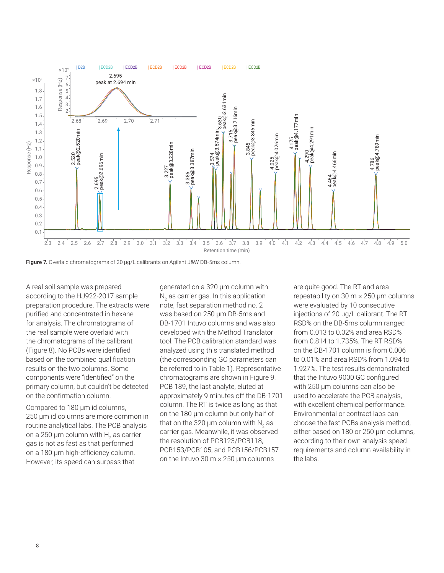

Figure 7. Overlaid chromatograms of 20 µg/L calibrants on Agilent J&W DB-5ms column.

A real soil sample was prepared according to the HJ922-2017 sample preparation procedure. The extracts were purified and concentrated in hexane for analysis. The chromatograms of the real sample were overlaid with the chromatograms of the calibrant (Figure 8). No PCBs were identified based on the combined qualification results on the two columns. Some components were "identified" on the primary column, but couldn't be detected on the confirmation column.

Compared to 180 µm id columns, 250 µm id columns are more common in routine analytical labs. The PCB analysis on a 250 µm column with  $\mathsf{H}_2^{}$  as carrier gas is not as fast as that performed on a 180 µm high-efficiency column. However, its speed can surpass that

generated on a 320 µm column with  $\mathsf{N}_2$  as carrier gas. In this application note, fast separation method no. 2 was based on 250 µm DB-5ms and DB-1701 Intuvo columns and was also developed with the Method Translator tool. The PCB calibration standard was analyzed using this translated method (the corresponding GC parameters can be referred to in Table 1). Representative chromatograms are shown in Figure 9. PCB 189, the last analyte, eluted at approximately 9 minutes off the DB-1701 column. The RT is twice as long as that on the 180 µm column but only half of that on the 320 µm column with N<sub>2</sub> as carrier gas. Meanwhile, it was observed the resolution of PCB123/PCB118, PCB153/PCB105, and PCB156/PCB157 on the Intuvo 30  $m \times 250$  µm columns

are quite good. The RT and area repeatability on 30 m × 250 µm columns were evaluated by 10 consecutive injections of 20 µg/L calibrant. The RT RSD% on the DB-5ms column ranged from 0.013 to 0.02% and area RSD% from 0.814 to 1.735%. The RT RSD% on the DB-1701 column is from 0.006 to 0.01% and area RSD% from 1.094 to 1.927%. The test results demonstrated that the Intuvo 9000 GC configured with 250 µm columns can also be used to accelerate the PCB analysis, with excellent chemical performance. Environmental or contract labs can choose the fast PCBs analysis method, either based on 180 or 250 µm columns, according to their own analysis speed requirements and column availability in the labs.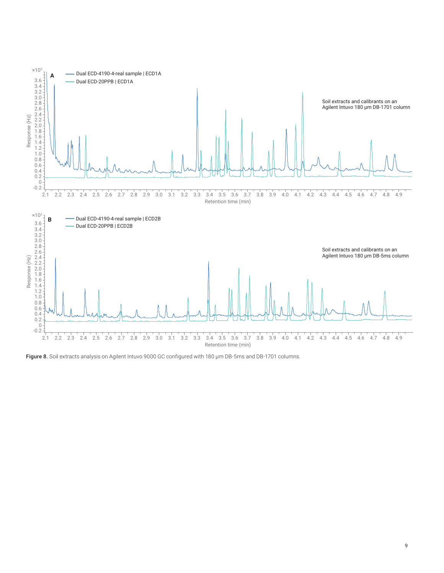

Figure 8. Soil extracts analysis on Agilent Intuvo 9000 GC configured with 180 µm DB-5ms and DB-1701 columns.